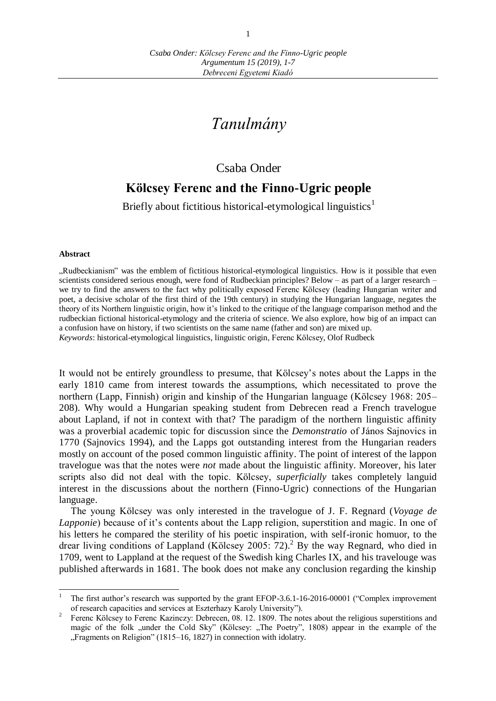# *Tanulmány*

## Csaba Onder

## **Kölcsey Ferenc and the Finno-Ugric people**

Briefly about fictitious historical-etymological linguistics<sup>1</sup>

#### **Abstract**

"Rudbeckianism" was the emblem of fictitious historical-etymological linguistics. How is it possible that even scientists considered serious enough, were fond of Rudbeckian principles? Below – as part of a larger research – we try to find the answers to the fact why politically exposed Ferenc Kölcsey (leading Hungarian writer and poet, a decisive scholar of the first third of the 19th century) in studying the Hungarian language, negates the theory of its Northern linguistic origin, how it's linked to the critique of the language comparison method and the rudbeckian fictional historical-etymology and the criteria of science. We also explore, how big of an impact can a confusion have on history, if two scientists on the same name (father and son) are mixed up. *Keywords*: historical-etymological linguistics, linguistic origin, Ferenc Kölcsey, Olof Rudbeck

It would not be entirely groundless to presume, that Kölcsey's notes about the Lapps in the early 1810 came from interest towards the assumptions, which necessitated to prove the northern (Lapp, Finnish) origin and kinship of the Hungarian language (Kölcsey 1968: 205– 208). Why would a Hungarian speaking student from Debrecen read a French travelogue about Lapland, if not in context with that? The paradigm of the northern linguistic affinity was a proverbial academic topic for discussion since the *Demonstratio* of János Sajnovics in 1770 (Sajnovics 1994), and the Lapps got outstanding interest from the Hungarian readers mostly on account of the posed common linguistic affinity. The point of interest of the lappon travelogue was that the notes were *not* made about the linguistic affinity. Moreover, his later scripts also did not deal with the topic. Kölcsey, *superficially* takes completely languid interest in the discussions about the northern (Finno-Ugric) connections of the Hungarian language.

The young Kölcsey was only interested in the travelogue of J. F. Regnard (*Voyage de Lapponie*) because of it's contents about the Lapp religion, superstition and magic. In one of his letters he compared the sterility of his poetic inspiration, with self-ironic homuor, to the drear living conditions of Lappland (Kölcsey 2005: 72).<sup>2</sup> By the way Regnard, who died in 1709, went to Lappland at the request of the Swedish king Charles IX, and his travelouge was published afterwards in 1681. The book does not make any conclusion regarding the kinship

<sup>1</sup> The first author's research was supported by the grant EFOP-3.6.1-16-2016-00001 ("Complex improvement of research capacities and services at Eszterhazy Karoly University").

<sup>2</sup> Ferenc Kölcsey to Ferenc Kazinczy: Debrecen, 08. 12. 1809. The notes about the religious superstitions and magic of the folk "under the Cold Sky" (Kölcsey: "The Poetry", 1808) appear in the example of the "Fragments on Religion" (1815–16, 1827) in connection with idolatry.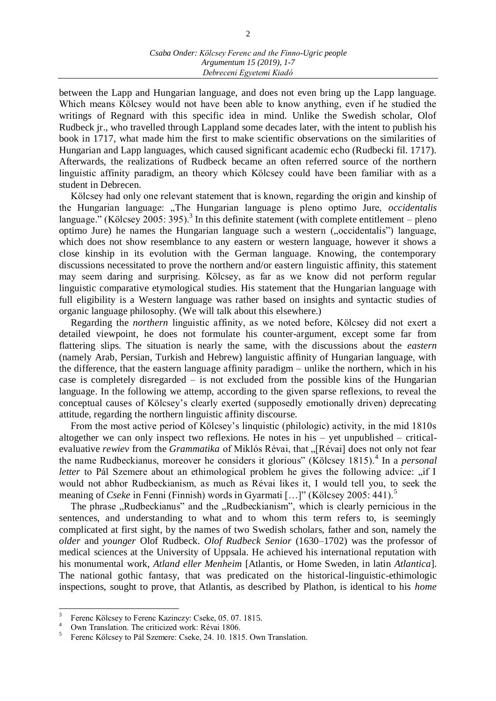between the Lapp and Hungarian language, and does not even bring up the Lapp language. Which means Kölcsey would not have been able to know anything, even if he studied the writings of Regnard with this specific idea in mind. Unlike the Swedish scholar, Olof Rudbeck jr., who travelled through Lappland some decades later, with the intent to publish his book in 1717, what made him the first to make scientific observations on the similarities of Hungarian and Lapp languages, which caused significant academic echo (Rudbecki fil. 1717). Afterwards, the realizations of Rudbeck became an often referred source of the northern linguistic affinity paradigm, an theory which Kölcsey could have been familiar with as a student in Debrecen.

Kölcsey had only one relevant statement that is known, regarding the origin and kinship of the Hungarian language: "The Hungarian language is pleno optimo Jure, *occidentalis* language." (Kölcsey 2005: 395).<sup>3</sup> In this definite statement (with complete entitlement – pleno optimo Jure) he names the Hungarian language such a western ("occidentalis") language, which does not show resemblance to any eastern or western language, however it shows a close kinship in its evolution with the German language. Knowing, the contemporary discussions necessitated to prove the northern and/or eastern linguistic affinity, this statement may seem daring and surprising. Kölcsey, as far as we know did not perform regular linguistic comparative etymological studies. His statement that the Hungarian language with full eligibility is a Western language was rather based on insights and syntactic studies of organic language philosophy. (We will talk about this elsewhere.)

Regarding the *northern* linguistic affinity, as we noted before, Kölcsey did not exert a detailed viewpoint, he does not formulate his counter-argument, except some far from flattering slips. The situation is nearly the same, with the discussions about the *eastern* (namely Arab, Persian, Turkish and Hebrew) languistic affinity of Hungarian language, with the difference, that the eastern language affinity paradigm – unlike the northern, which in his case is completely disregarded – is not excluded from the possible kins of the Hungarian language. In the following we attemp, according to the given sparse reflexions, to reveal the conceptual causes of Kölcsey's clearly exerted (supposedly emotionally driven) deprecating attitude, regarding the northern linguistic affinity discourse.

From the most active period of Kölcsey's linquistic (philologic) activity, in the mid 1810s altogether we can only inspect two reflexions. He notes in his – yet unpublished – criticalevaluative *rewiev* from the *Grammatika* of Miklós Révai, that "[Révai] does not only not fear the name Rudbeckianus, moreover he considers it glorious" (Kölcsey 1815).<sup>4</sup> In a *personal letter* to Pál Szemere about an ethimological problem he gives the following advice: "if I would not abhor Rudbeckianism, as much as Révai likes it, I would tell you, to seek the meaning of *Cseke* in Fenni (Finnish) words in Gyarmati [...]" (Kölcsey 2005: 441).<sup>5</sup>

The phrase "Rudbeckianus" and the "Rudbeckianism", which is clearly pernicious in the sentences, and understanding to what and to whom this term refers to, is seemingly complicated at first sight, by the names of two Swedish scholars, father and son, namely the *older* and *younger* Olof Rudbeck. *Olof Rudbeck Senior* (1630–1702) was the professor of medical sciences at the University of Uppsala. He achieved his international reputation with his monumental work, *Atland eller Menheim* [Atlantis, or Home Sweden, in latin *Atlantica*]. The national gothic fantasy, that was predicated on the historical-linguistic-ethimologic inspections, sought to prove, that Atlantis, as described by Plathon, is identical to his *home*

<sup>&</sup>lt;sup>2</sup><br>3 Ferenc Kölcsey to Ferenc Kazinczy: Cseke, 05. 07. 1815.

<sup>&</sup>lt;sup>4</sup> Own Translation. The criticized work: Révai 1806.

<sup>5</sup> Ferenc Kölcsey to Pál Szemere: Cseke, 24. 10. 1815. Own Translation.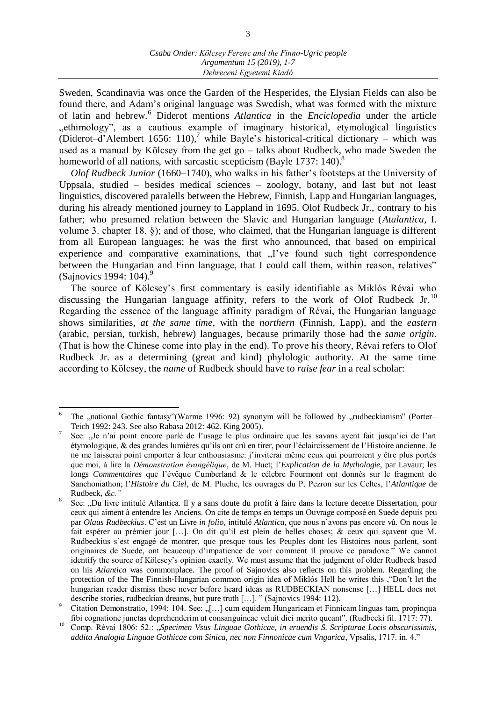Sweden, Scandinavia was once the Garden of the Hesperides, the Elysian Fields can also be found there, and Adam's original language was Swedish, what was formed with the mixture of latin and hebrew.<sup>6</sup> Diderot mentions *Atlantica* in the *Enciclopedia* under the article , ethimology", as a cautious example of imaginary historical, etymological linguistics (Diderot–d'Alembert 1656: 110),<sup>7</sup> while Bayle's historical-critical dictionary – which was used as a manual by Kölcsey from the get go – talks about Rudbeck, who made Sweden the homeworld of all nations, with sarcastic scepticism (Bayle 1737: 140).<sup>8</sup>

*Olof Rudbeck Junior* (1660–1740), who walks in his father's footsteps at the University of Uppsala, studied – besides medical sciences – zoology, botany, and last but not least linguistics, discovered paralells between the Hebrew, Finnish, Lapp and Hungarian languages, during his already mentioned journey to Lappland in 1695. Olof Rudbeck Jr., contrary to his father; who presumed relation between the Slavic and Hungarian language (*Atalantica*, I. volume 3. chapter 18. §); and of those, who claimed, that the Hungarian language is different from all European languages; he was the first who announced, that based on empirical experience and comparative examinations, that  $\pi$  I've found such tight correspondence between the Hungarian and Finn language, that I could call them, within reason, relatives" (Sajnovics 1994: 104).<sup>9</sup>

The source of Kölcsey's first commentary is easily identifiable as Miklós Révai who discussing the Hungarian language affinity, refers to the work of Olof Rudbeck Jr.<sup>10</sup> Regarding the essence of the language affinity paradigm of Révai, the Hungarian language shows similarities, *at the same time*, with the *northern* (Finnish, Lapp), and the *eastern* (arabic, persian, turkish, hebrew) languages, because primarily those had the *same origin*. (That is how the Chinese come into play in the end). To prove his theory, Révai refers to Olof Rudbeck Jr. as a determining (great and kind) phylologic authority. At the same time according to Kölcsey, the *name* of Rudbeck should have to *raise fear* in a real scholar:

 $\overline{a}$ 6 The "national Gothic fantasy"(Warme 1996: 92) synonym will be followed by "rudbeckianism" (Porter– Teich 1992: 243. See also Rabasa 2012: 462. King 2005).

<sup>7</sup> See: "Je n'ai point encore parlé de l'usage le plus ordinaire que les savans ayent fait jusqu'ici de l'art étymologique, & des grandes lumières qu'ils ont crû en tirer, pour l'éclaircissement de l'Histoire ancienne. Je ne me laisserai point emporter à leur enthousiasme: j'inviterai même ceux qui pourroient y être plus portés que moi, à lire la *Démonstration évangélique*, de M. Huet; l'*Explication de la Mythologie*, par Lavaur; les longs *Commentaires* que l'évêque Cumberland & le célebre Fourmont ont donnés sur le fragment de Sanchoniathon; l'*Histoire du Ciel*, de M. Pluche, les ouvrages du P. Pezron sur les Celtes, l'*Atlantique* de Rudbeck, *&c."*

<sup>8</sup> See: "Du livre intitulé Atlantica. Il y a sans doute du profit à faire dans la lecture decette Dissertation, pour ceux qui aiment à entendre les Anciens. On cite de temps en temps un Ouvrage composé en Suede depuis peu par *Olaus Rudbeckius*. C'est un Livre *in folio*, intitulé *Atlantica*, que nous n'avons pas encore vû. On nous le fait espérer au prémier jour […]. On dit qu'il est plein de belles choses; & ceux qui sçavent que M. Rudbeckius s'est engagé de montrer, que presque tous les Peuples dont les Histoires nous parlent, sont originaires de Suede, ont beaucoup d'impatience de voir comment il prouve ce paradoxe." We cannot identify the source of Kölcsey's opinion exactly. We must assume that the judgment of older Rudbeck based on his *Atlantica* was commonplace. The proof of Sajnovics also reflects on this problem. Regarding the protection of the The Finnish-Hungarian common origin idea of Miklós Hell he writes this ,"Don't let the hungarian reader dismiss these never before heard ideas as RUDBECKIAN nonsense […] HELL does not describe stories, rudbeckian dreams, but pure truth […]. " (Sajnovics 1994: 112).

Citation Demonstratio, 1994: 104. See: "[...] cum equidem Hungaricam et Finnicam linguas tam, propinqua fibi cognatione junctas deprehenderim ut consanguineae veluit dici merito queant". (Rudbecki fil. 1717: 77).

<sup>10</sup> Comp. Révai 1806: 52.: *"Specimen Vsus Linguae Gothicae, in eruendis S. Scripturae Locis obscurissimis*, *addita Analogia Linguae Gothicae com Sinica, nec non Finnonicae cum Vngarica*, Vpsalis, 1717. in. 4."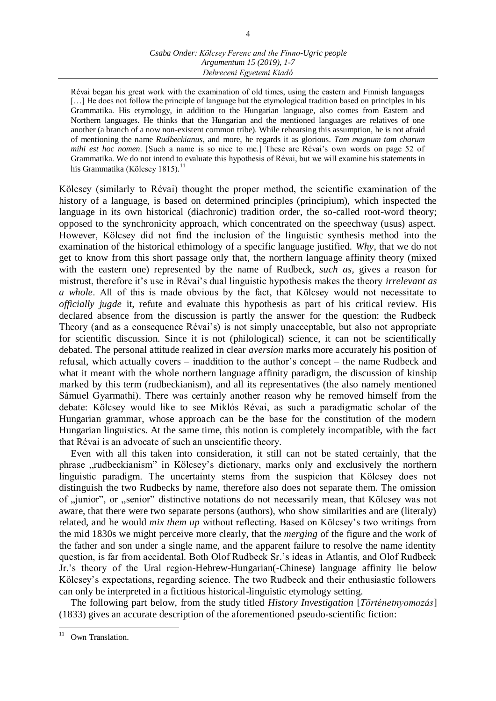Révai began his great work with the examination of old times, using the eastern and Finnish languages [...] He does not follow the principle of language but the etymological tradition based on principles in his Grammatika. His etymology, in addition to the Hungarian language, also comes from Eastern and Northern languages. He thinks that the Hungarian and the mentioned languages are relatives of one another (a branch of a now non-existent common tribe). While rehearsing this assumption, he is not afraid of mentioning the name *Rudbeckianus*, and more, he regards it as glorious. *Tam magnum tam charum mihi est hoc nomen*. [Such a name is so nice to me.] These are Révai's own words on page 52 of Grammatika. We do not intend to evaluate this hypothesis of Révai, but we will examine his statements in his Grammatika (Kölcsey 1815).<sup>11</sup>

Kölcsey (similarly to Révai) thought the proper method, the scientific examination of the history of a language, is based on determined principles (principium), which inspected the language in its own historical (diachronic) tradition order, the so-called root-word theory; opposed to the synchronicity approach, which concentrated on the speechway (usus) aspect. However, Kölcsey did not find the inclusion of the linguistic synthesis method into the examination of the historical ethimology of a specific language justified. *Why*, that we do not get to know from this short passage only that, the northern language affinity theory (mixed with the eastern one) represented by the name of Rudbeck, *such as*, gives a reason for mistrust, therefore it's use in Révai's dual linguistic hypothesis makes the theory *irrelevant as a whole*. All of this is made obvious by the fact, that Kölcsey would not necessitate to *officially jugde* it, refute and evaluate this hypothesis as part of his critical review. His declared absence from the discussion is partly the answer for the question: the Rudbeck Theory (and as a consequence Révai's) is not simply unacceptable, but also not appropriate for scientific discussion. Since it is not (philological) science, it can not be scientifically debated. The personal attitude realized in clear *aversion* marks more accurately his position of refusal, which actually covers – inaddition to the author's concept – the name Rudbeck and what it meant with the whole northern language affinity paradigm, the discussion of kinship marked by this term (rudbeckianism), and all its representatives (the also namely mentioned Sámuel Gyarmathi). There was certainly another reason why he removed himself from the debate: Kölcsey would like to see Miklós Révai, as such a paradigmatic scholar of the Hungarian grammar, whose approach can be the base for the constitution of the modern Hungarian linguistics. At the same time, this notion is completely incompatible, with the fact that Révai is an advocate of such an unscientific theory.

Even with all this taken into consideration, it still can not be stated certainly, that the phrase "rudbeckianism" in Kölcsey's dictionary, marks only and exclusively the northern linguistic paradigm. The uncertainty stems from the suspicion that Kölcsey does not distinguish the two Rudbecks by name, therefore also does not separate them. The omission of "junior", or "senior" distinctive notations do not necessarily mean, that Kölcsey was not aware, that there were two separate persons (authors), who show similarities and are (literaly) related, and he would *mix them up* without reflecting. Based on Kölcsey's two writings from the mid 1830s we might perceive more clearly, that the *merging* of the figure and the work of the father and son under a single name, and the apparent failure to resolve the name identity question, is far from accidental. Both Olof Rudbeck Sr.'s ideas in Atlantis, and Olof Rudbeck Jr.'s theory of the Ural region-Hebrew-Hungarian(-Chinese) language affinity lie below Kölcsey's expectations, regarding science. The two Rudbeck and their enthusiastic followers can only be interpreted in a fictitious historical-linguistic etymology setting.

The following part below, from the study titled *History Investigation* [*Történetnyomozás*] (1833) gives an accurate description of the aforementioned pseudo-scientific fiction:

 Own Translation.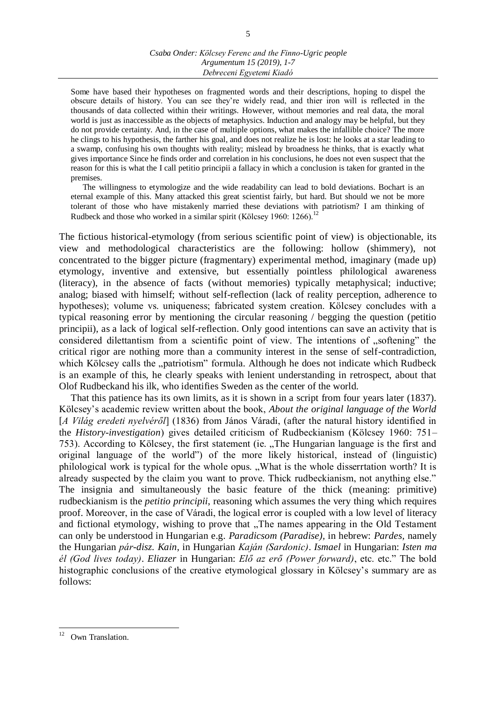Some have based their hypotheses on fragmented words and their descriptions, hoping to dispel the obscure details of history. You can see they're widely read, and thier iron will is reflected in the thousands of data collected within their writings. However, without memories and real data, the moral world is just as inaccessible as the objects of metaphysics. Induction and analogy may be helpful, but they do not provide certainty. And, in the case of multiple options, what makes the infallible choice? The more he clings to his hypothesis, the farther his goal, and does not realize he is lost: he looks at a star leading to a swamp, confusing his own thoughts with reality; mislead by broadness he thinks, that is exactly what gives importance Since he finds order and correlation in his conclusions, he does not even suspect that the reason for this is what the I call petitio principii a fallacy in which a conclusion is taken for granted in the premises.

The willingness to etymologize and the wide readability can lead to bold deviations. Bochart is an eternal example of this. Many attacked this great scientist fairly, but hard. But should we not be more tolerant of those who have mistakenly married these deviations with patriotism? I am thinking of Rudbeck and those who worked in a similar spirit (Kölcsey 1960: 1266).<sup>12</sup>

The fictious historical-etymology (from serious scientific point of view) is objectionable, its view and methodological characteristics are the following: hollow (shimmery), not concentrated to the bigger picture (fragmentary) experimental method, imaginary (made up) etymology, inventive and extensive, but essentially pointless philological awareness (literacy), in the absence of facts (without memories) typically metaphysical; inductive; analog; biased with himself; without self-reflection (lack of reality perception, adherence to hypotheses); volume vs. uniqueness; fabricated system creation. Kölcsey concludes with a typical reasoning error by mentioning the circular reasoning / begging the question (petitio principii), as a lack of logical self-reflection. Only good intentions can save an activity that is considered dilettantism from a scientific point of view. The intentions of "softening" the critical rigor are nothing more than a community interest in the sense of self-contradiction, which Kölcsey calls the "patriotism" formula. Although he does not indicate which Rudbeck is an example of this, he clearly speaks with lenient understanding in retrospect, about that Olof Rudbeckand his ilk, who identifies Sweden as the center of the world.

That this patience has its own limits, as it is shown in a script from four years later (1837). Kölcsey's academic review written about the book, *About the original language of the World* [*A Világ eredeti nyelvéről*] (1836) from János Váradi, (after the natural history identified in the *History-investigation*) gives detailed criticism of Rudbeckianism (Kölcsey 1960: 751– 753). According to Kölcsey, the first statement (ie. "The Hungarian language is the first and original language of the world") of the more likely historical, instead of (linguistic) philological work is typical for the whole opus. "What is the whole disserrtation worth? It is already suspected by the claim you want to prove. Thick rudbeckianism, not anything else." The insignia and simultaneously the basic feature of the thick (meaning: primitive) rudbeckianism is the *petitio principii*, reasoning which assumes the very thing which requires proof. Moreover, in the case of Váradi, the logical error is coupled with a low level of literacy and fictional etymology, wishing to prove that "The names appearing in the Old Testament" can only be understood in Hungarian e.g. *Paradicsom (Paradise),* in hebrew: *Pardes,* namely the Hungarian *pár-disz. Kain*, in Hungarian *Kaján (Sardonic)*. *Ismael* in Hungarian: *Isten ma él (God lives today)*. *Eliazer* in Hungarian: *Elő az erő (Power forward)*, etc. etc." The bold histographic conclusions of the creative etymological glossary in Kölcsey's summary are as follows:

 $12$ Own Translation.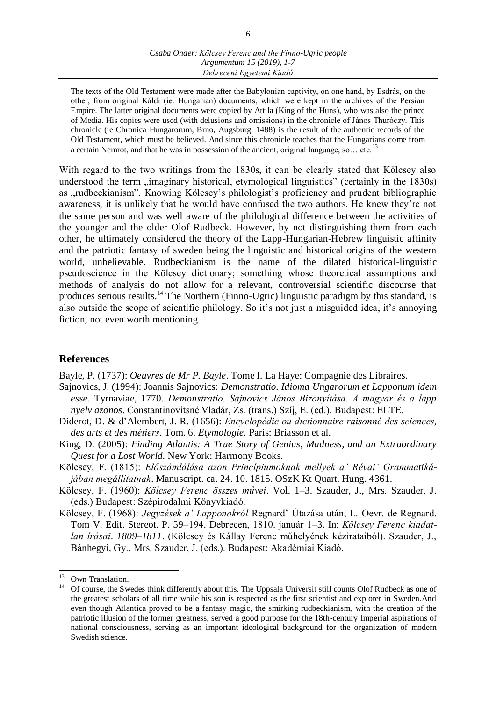The texts of the Old Testament were made after the Babylonian captivity, on one hand, by Esdrás, on the other, from original Káldi (ie. Hungarian) documents, which were kept in the archives of the Persian Empire. The latter original documents were copied by Attila (King of the Huns), who was also the prince of Media. His copies were used (with delusions and omissions) in the chronicle of János Thuróczy. This chronicle (ie Chronica Hungarorum, Brno, Augsburg: 1488) is the result of the authentic records of the Old Testament, which must be believed. And since this chronicle teaches that the Hungarians come from a certain Nemrot, and that he was in possession of the ancient, original language, so... etc.<sup>13</sup>

With regard to the two writings from the 1830s, it can be clearly stated that Kölcsey also understood the term "imaginary historical, etymological linguistics" (certainly in the 1830s) as "rudbeckianism". Knowing Kölcsey's philologist's proficiency and prudent bibliographic awareness, it is unlikely that he would have confused the two authors. He knew they're not the same person and was well aware of the philological difference between the activities of the younger and the older Olof Rudbeck. However, by not distinguishing them from each other, he ultimately considered the theory of the Lapp-Hungarian-Hebrew linguistic affinity and the patriotic fantasy of sweden being the linguistic and historical origins of the western world, unbelievable. Rudbeckianism is the name of the dilated historical-linguistic pseudoscience in the Kölcsey dictionary; something whose theoretical assumptions and methods of analysis do not allow for a relevant, controversial scientific discourse that produces serious results.<sup>14</sup> The Northern (Finno-Ugric) linguistic paradigm by this standard, is also outside the scope of scientific philology. So it's not just a misguided idea, it's annoying fiction, not even worth mentioning.

### **References**

Bayle, P. (1737): *Oeuvres de Mr P. Bayle*. Tome I. La Haye: Compagnie des Libraires.

- Sajnovics, J. (1994): Joannis Sajnovics: *Demonstratio. Idioma Ungarorum et Lapponum idem esse*. Tyrnaviae, 1770. *Demonstratio. Sajnovics János Bizonyítása. A magyar és a lapp nyelv azonos*. Constantinovitsné Vladár, Zs. (trans.) Szíj, E. (ed.). Budapest: ELTE.
- Diderot, D. & d'Alembert, J. R. (1656): *Encyclopédie ou dictionnaire raisonné des sciences, des arts et des métiers*. Tom. 6. *Etymologie.* Paris: Briasson et al.
- King, D. (2005): *Finding Atlantis: A True Story of Genius, Madness, and an Extraordinary Quest for a Lost World.* New York: Harmony Books.
- Kölcsey, F. (1815): *Előszámlálása azon Princípiumoknak mellyek a' Révai' Grammatikájában megállítatnak*. Manuscript. ca. 24. 10. 1815. OSzK Kt Quart. Hung. 4361.
- Kölcsey, F. (1960): *Kölcsey Ferenc összes művei*. Vol. 1–3. Szauder, J., Mrs. Szauder, J. (eds.) Budapest: Szépirodalmi Könyvkiadó.
- Kölcsey, F. (1968): *Jegyzések a' Lapponokról* Regnard' Útazása után, L. Oevr. de Regnard. Tom V. Edit. Stereot. P. 59–194. Debrecen, 1810. január 1–3. In: *Kölcsey Ferenc kiadatlan írásai*. *1809–1811*. (Kölcsey és Kállay Ferenc műhelyének kézirataiból). Szauder, J., Bánhegyi, Gy., Mrs. Szauder, J. (eds.). Budapest: Akadémiai Kiadó.

 $\overline{a}$ 

<sup>&</sup>lt;sup>13</sup> Own Translation.

<sup>&</sup>lt;sup>14</sup> Of course, the Swedes think differently about this. The Uppsala Universit still counts Olof Rudbeck as one of the greatest scholars of all time while his son is respected as the first scientist and explorer in Sweden.And even though Atlantica proved to be a fantasy magic, the smirking rudbeckianism, with the creation of the patriotic illusion of the former greatness, served a good purpose for the 18th-century Imperial aspirations of national consciousness, serving as an important ideological background for the organization of modern Swedish science.